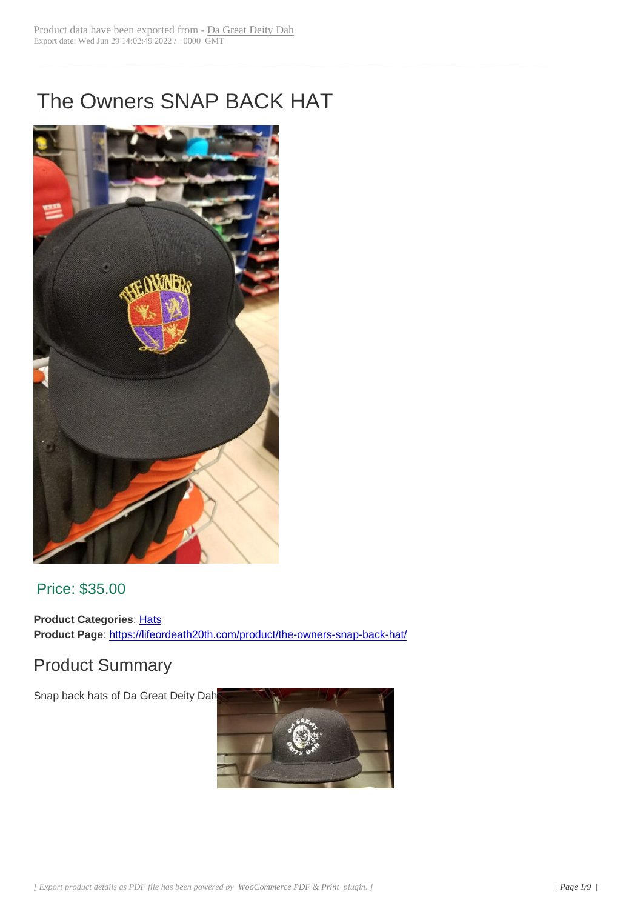## The Owners SNAP BACK HAT



#### Price: \$35.00

**Product Categories**: Hats **Product Page**: https://lifeordeath20th.com/product/the-owners-snap-back-hat/

### Product Sum[mar](https://lifeordeath20th.com/product-category/hats/)y

Snap back hats [of Da Great Deity Dah](https://lifeordeath20th.com/product/the-owners-snap-back-hat/) 

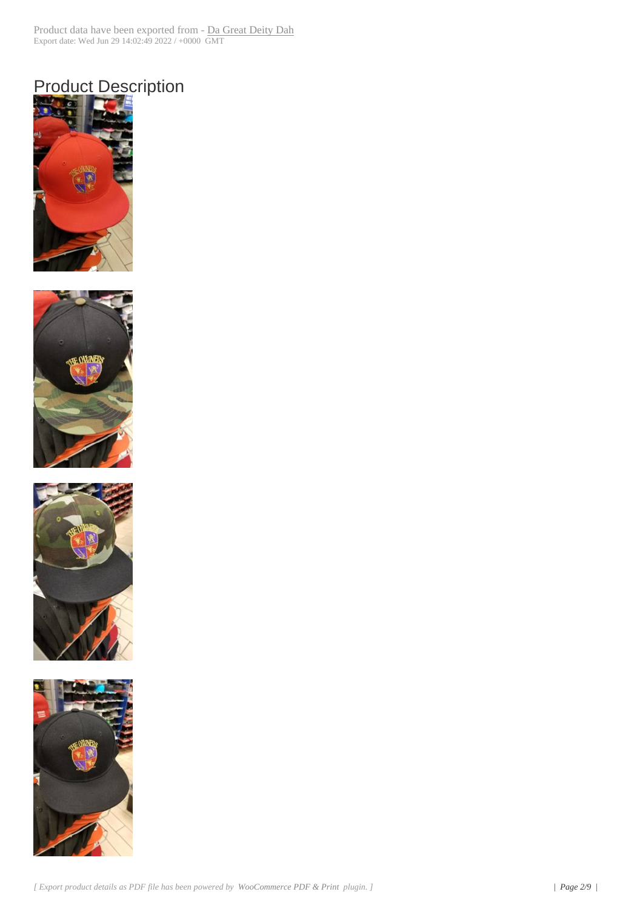# Product Description







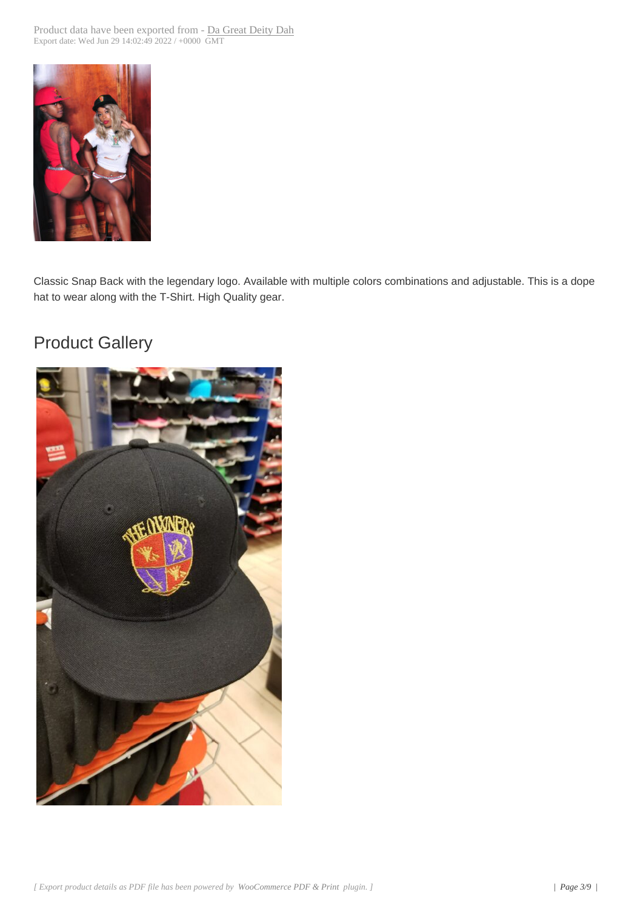

Classic Snap Back with the legendary logo. Available with multiple colors combinations and adjustable. This is a dope hat to wear along with the T-Shirt. High Quality gear.

#### Product Gallery

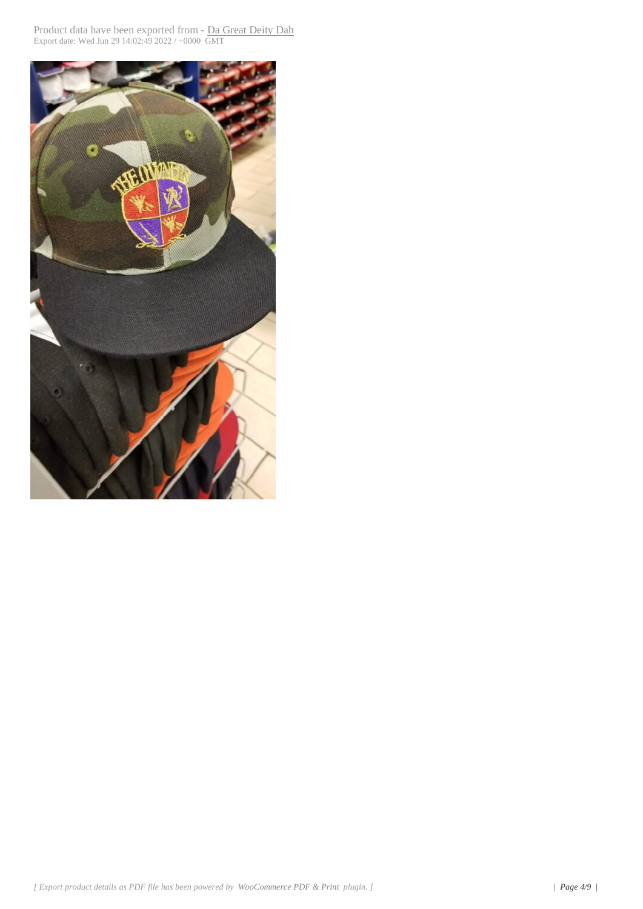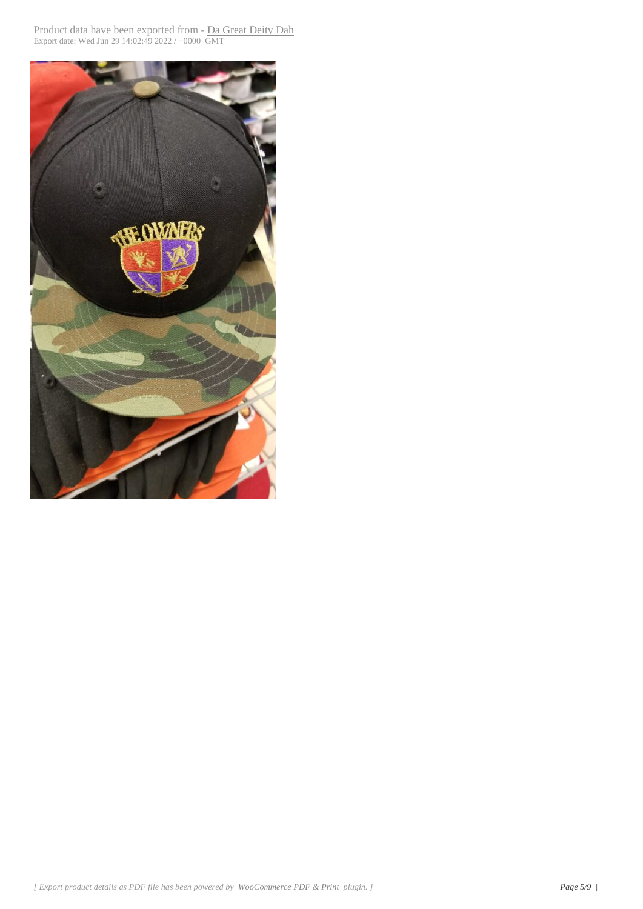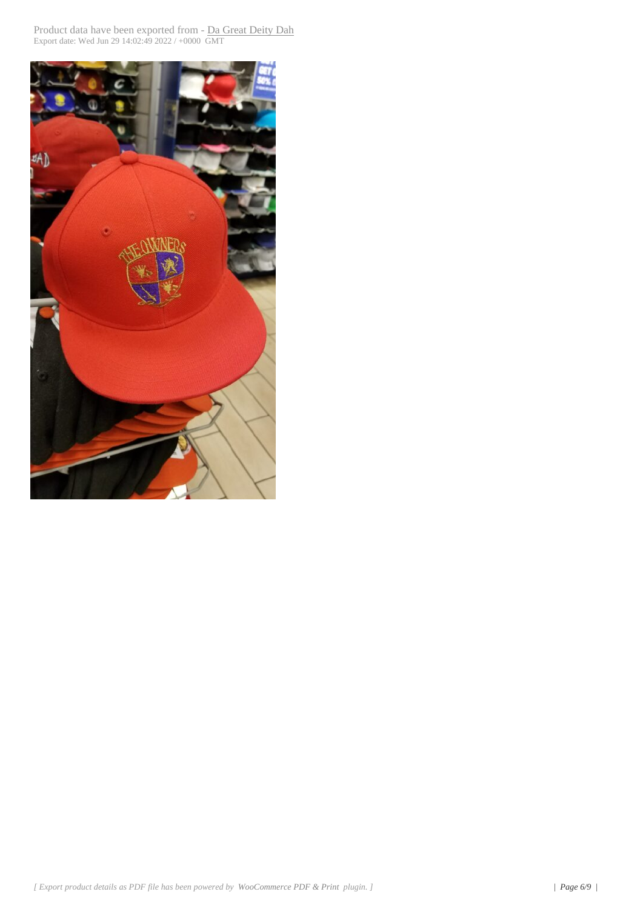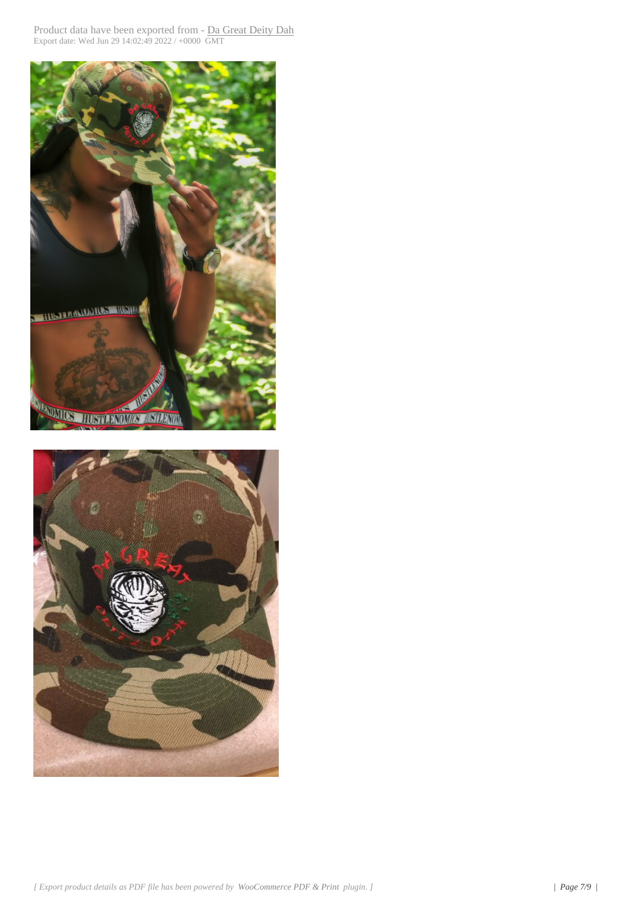

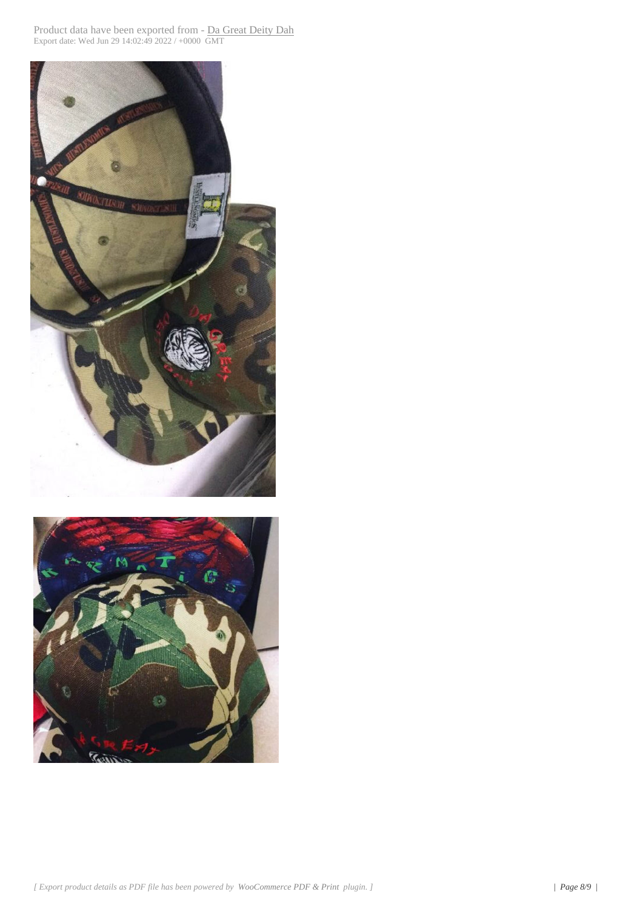